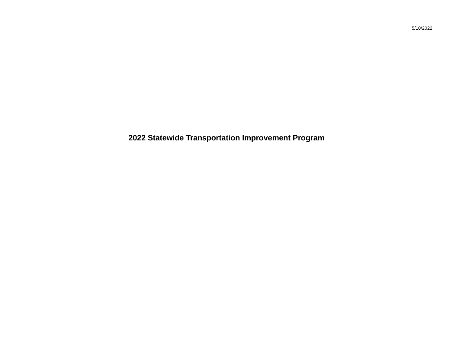**2022 Statewide Transportation Improvement Program**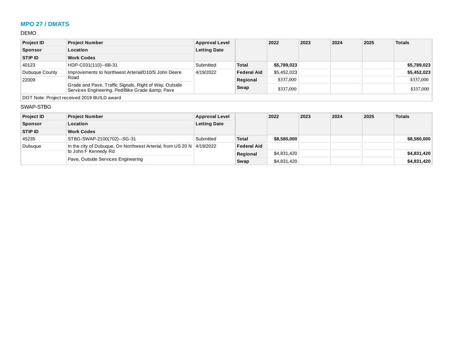## **MPO 27 / DMATS**

## DEMO

| <b>Project ID</b>                           | <b>Project Number</b>                                                                                 | <b>Approval Level</b> |                    | 2022        | 2023 | 2024 | 2025 | <b>Totals</b> |  |  |  |  |
|---------------------------------------------|-------------------------------------------------------------------------------------------------------|-----------------------|--------------------|-------------|------|------|------|---------------|--|--|--|--|
| <b>Sponsor</b>                              | Location                                                                                              | <b>Letting Date</b>   |                    |             |      |      |      |               |  |  |  |  |
| <b>STIP ID</b>                              | <b>Work Codes</b>                                                                                     |                       |                    |             |      |      |      |               |  |  |  |  |
| 40123                                       | HDP-C031(110)--6B-31                                                                                  | Submitted             | Total              | \$5,789,023 |      |      |      | \$5,789,023   |  |  |  |  |
| Dubuque County                              | Improvements to Northwest Arterial/D10/S John Deere                                                   | 4/19/2022             | <b>Federal Aid</b> | \$5,452,023 |      |      |      | \$5,452,023   |  |  |  |  |
| 22009                                       | Road                                                                                                  |                       | Regional           | \$337,000   |      |      |      | \$337,000     |  |  |  |  |
|                                             | Grade and Pave, Traffic Signals, Right of Way, Outside<br>Services Engineering, Ped/Bike Grade & Pave |                       | Swap               | \$337,000   |      |      |      | \$337,000     |  |  |  |  |
| DOT Note: Project received 2019 BUILD award |                                                                                                       |                       |                    |             |      |      |      |               |  |  |  |  |

SWAP-STBG

| <b>Project ID</b> | <b>Project Number</b>                                                         | <b>Approval Level</b> |                    | 2022        | 2023 | 2024 | 2025 | <b>Totals</b> |
|-------------------|-------------------------------------------------------------------------------|-----------------------|--------------------|-------------|------|------|------|---------------|
| <b>Sponsor</b>    | Location                                                                      | <b>Letting Date</b>   |                    |             |      |      |      |               |
| <b>STIP ID</b>    | <b>Work Codes</b>                                                             |                       |                    |             |      |      |      |               |
| 45235             | STBG-SWAP-2100(702)--SG-31                                                    | Submitted             | <b>Total</b>       | \$8,580,000 |      |      |      | \$8,580,000   |
| Dubuque           | In the city of Dubuque, On Northwest Arterial, from US 20 N $\vert$ 4/19/2022 |                       | <b>Federal Aid</b> |             |      |      |      |               |
|                   | to John F Kennedy Rd                                                          |                       | Regional           | \$4,831,420 |      |      |      | \$4,831,420   |
|                   | Pave, Outside Services Engineering                                            |                       | Swap               | \$4,831,420 |      |      |      | \$4,831,420   |